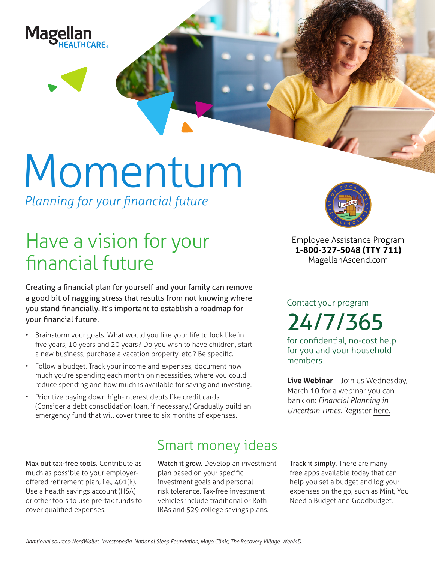

# Momentum

*Planning for your financial future*

## Have a vision for your financial future

Creating a financial plan for yourself and your family can remove a good bit of nagging stress that results from not knowing where you stand financially. It's important to establish a roadmap for your financial future.

- Brainstorm your goals. What would you like your life to look like in five years, 10 years and 20 years? Do you wish to have children, start a new business, purchase a vacation property, etc.? Be specific.
- Follow a budget. Track your income and expenses; document how much you're spending each month on necessities, where you could reduce spending and how much is available for saving and investing.
- Prioritize paying down high-interest debts like credit cards. (Consider a debt consolidation loan, if necessary.) Gradually build an emergency fund that will cover three to six months of expenses.



**Employee Assistance Program 1-800-327-5048 (TTY 711) MagellanAscend.com**

Contact your program

24/7/365

for confidential, no-cost help for you and your household members.

**Live Webinar**—Join us Wednesday, March 10 for a webinar you can bank on: *Financial Planning in Uncertain Times.* Register [here](https://events-na4.adobeconnect.com/content/connect/c1/825364167/en/events/event/shared/default_template_simple/event_registration.html?sco-id=1842536117&_charset_=utf-8).

Max out tax-free tools. Contribute as much as possible to your employeroffered retirement plan, i.e., 401(k). Use a health savings account (HSA) or other tools to use pre-tax funds to cover qualified expenses.

### Smart money ideas

Watch it grow. Develop an investment plan based on your specific investment goals and personal risk tolerance. Tax-free investment vehicles include traditional or Roth IRAs and 529 college savings plans.

Track it simply. There are many free apps available today that can help you set a budget and log your expenses on the go, such as Mint, You Need a Budget and Goodbudget.